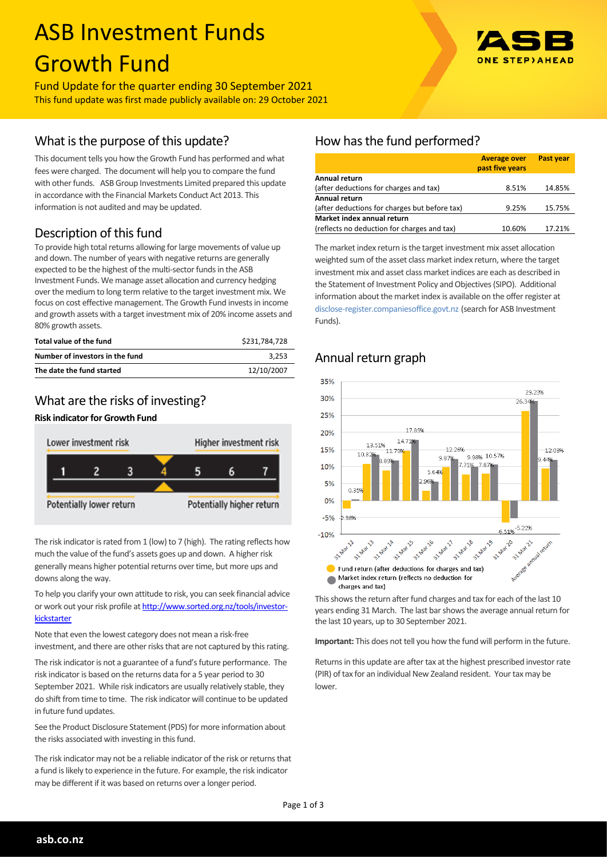# ASB Investment Funds Growth Fund



Fund Update for the quarter ending 30 September 2021 This fund update was first made publicly available on: 29 October 2021

## What is the purpose of this update?

This document tells you how the Growth Fund has performed and what fees were charged. The document will help you to compare the fund with other funds. ASB Group Investments Limited prepared this update in accordance with the Financial Markets Conduct Act 2013. This information is not audited and may be updated.

# Description of this fund

To provide high total returns allowing for large movements of value up and down. The number of years with negative returns are generally expected to be the highest of the multi-sector funds in the ASB Investment Funds. We manage asset allocation and currency hedging over the medium to long term relative to the target investment mix. We focus on cost effective management. The Growth Fund invests in income and growth assets with a target investment mix of 20% income assets and 80% growth assets.

| Total value of the fund         | \$231.784.728 |
|---------------------------------|---------------|
| Number of investors in the fund | 3.253         |
| The date the fund started       | 12/10/2007    |

# What are the risks of investing?

## **Risk indicator for Growth Fund**



The risk indicator is rated from 1 (low) to 7 (high). The rating reflects how much the value of the fund's assets goes up and down. A higher risk generally means higher potential returns over time, but more ups and downs along the way.

To help you clarify your own attitude to risk, you can seek financial advice or work out your risk profile at [http://www.sorted.org.nz/tools/investor](http://www.sorted.org.nz/tools/investor-kickstarter)**[kickstarter](http://www.sorted.org.nz/tools/investor-kickstarter)** 

Note that even the lowest category does not mean a risk-free investment, and there are other risks that are not captured by this rating.

The risk indicator is not a guarantee of a fund's future performance. The risk indicator is based on the returns data for a 5 year period to 30 September 2021. While risk indicators are usually relatively stable, they do shift from time to time. The risk indicator will continue to be updated in future fund updates.

See the Product Disclosure Statement (PDS) for more information about the risks associated with investing in this fund.

The risk indicator may not be a reliable indicator of the risk or returns that a fund is likely to experience in the future. For example, the risk indicator may be different if it was based on returns over a longer period.

# How has the fund performed?

|                                               | <b>Average over</b><br>past five years | <b>Past year</b> |
|-----------------------------------------------|----------------------------------------|------------------|
| Annual return                                 |                                        |                  |
| (after deductions for charges and tax)        | 8.51%                                  | 14.85%           |
| Annual return                                 |                                        |                  |
| (after deductions for charges but before tax) | 9.25%                                  | 15.75%           |
| Market index annual return                    |                                        |                  |
| (reflects no deduction for charges and tax)   | 10.60%                                 | 17.21%           |

The market index return is the target investment mix asset allocation weighted sum of the asset class market index return, where the target investment mix and asset class market indices are each as described in the Statement of Investment Policy and Objectives (SIPO). Additional information about the market index is available on the offer register at [disclose-register.companiesoffice.govt.nz](http://www.business.govt.nz/disclose/) (search for ASB Investment Funds).

## Annual return graph



This shows the return after fund charges and tax for each of the last 10 years ending 31 March. The last bar shows the average annual return for the last 10 years, up to 30 September 2021.

**Important:** This does not tell you how the fund will perform in the future.

Returns in this update are after tax at the highest prescribed investor rate (PIR) of tax for an individual New Zealand resident. Your tax may be lower.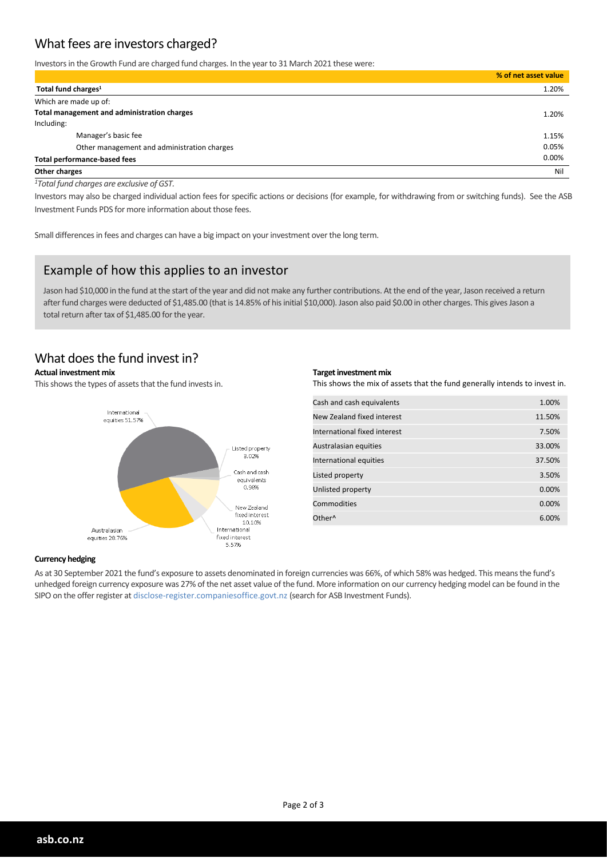# What fees are investors charged?

Investors in the Growth Fund are charged fund charges. In the year to 31 March 2021 these were:

|                                             | % of net asset value |
|---------------------------------------------|----------------------|
| Total fund charges <sup>1</sup>             | 1.20%                |
| Which are made up of:                       |                      |
| Total management and administration charges | 1.20%                |
| Including:                                  |                      |
| Manager's basic fee                         | 1.15%                |
| Other management and administration charges | 0.05%                |
| <b>Total performance-based fees</b>         | 0.00%                |
| Other charges                               | Nil                  |

*<sup>1</sup>Total fund charges are exclusive of GST.*

Investors may also be charged individual action fees for specific actions or decisions (for example, for withdrawing from or switching funds). See the ASB Investment Funds PDS for more information about those fees.

Small differences in fees and charges can have a big impact on your investment over the long term.

## Example of how this applies to an investor

Jason had \$10,000 in the fund at the start of the year and did not make any further contributions. At the end of the year, Jason received a return after fund charges were deducted of \$1,485.00 (that is 14.85% of his initial \$10,000). Jason also paid \$0.00 in other charges. This gives Jason a total return after tax of \$1,485.00 for the year.

## What does the fund invest in?

#### **Actual investment mix**

This shows the types of assets that the fund invests in.



#### **Target investment mix**

This shows the mix of assets that the fund generally intends to invest in.

| Cash and cash equivalents    | 1.00%  |
|------------------------------|--------|
| New Zealand fixed interest   | 11.50% |
| International fixed interest | 7.50%  |
| Australasian equities        | 33.00% |
| International equities       | 37.50% |
| Listed property              | 3.50%  |
| Unlisted property            | 0.00%  |
| Commodities                  | 0.00%  |
| Other <sup>^</sup>           | 6.00%  |

#### **Currency hedging**

As at 30 September 2021 the fund's exposure to assets denominated in foreign currencies was 66%, of which 58% was hedged. This means the fund's unhedged foreign currency exposure was 27% of the net asset value of the fund. More information on our currency hedging model can be found in the SIPO on the offer register at disclose-register.companiesoffice.govt.nz (search for ASB Investment Funds).